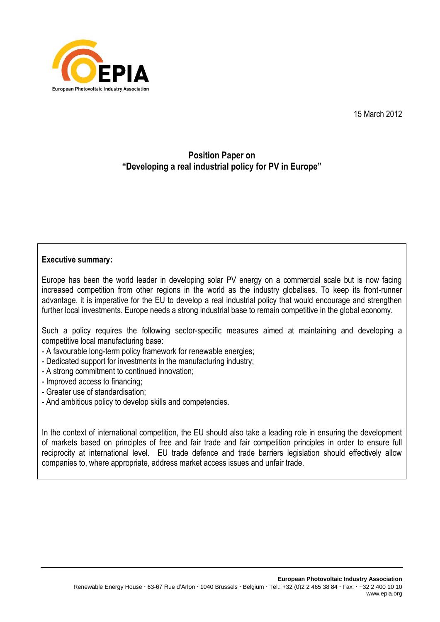

15 March 2012

# **Position Paper on "Developing a real industrial policy for PV in Europe"**

#### **Executive summary:**

Europe has been the world leader in developing solar PV energy on a commercial scale but is now facing increased competition from other regions in the world as the industry globalises. To keep its front-runner advantage, it is imperative for the EU to develop a real industrial policy that would encourage and strengthen further local investments. Europe needs a strong industrial base to remain competitive in the global economy.

Such a policy requires the following sector-specific measures aimed at maintaining and developing a competitive local manufacturing base:

- A favourable long-term policy framework for renewable energies;
- Dedicated support for investments in the manufacturing industry;
- A strong commitment to continued innovation;
- Improved access to financing;
- Greater use of standardisation;
- And ambitious policy to develop skills and competencies.

In the context of international competition, the EU should also take a leading role in ensuring the development of markets based on principles of free and fair trade and fair competition principles in order to ensure full reciprocity at international level. EU trade defence and trade barriers legislation should effectively allow companies to, where appropriate, address market access issues and unfair trade.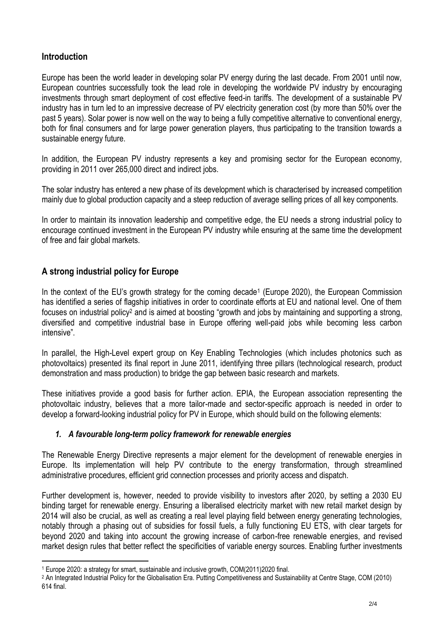# **Introduction**

1

Europe has been the world leader in developing solar PV energy during the last decade. From 2001 until now, European countries successfully took the lead role in developing the worldwide PV industry by encouraging investments through smart deployment of cost effective feed-in tariffs. The development of a sustainable PV industry has in turn led to an impressive decrease of PV electricity generation cost (by more than 50% over the past 5 years). Solar power is now well on the way to being a fully competitive alternative to conventional energy, both for final consumers and for large power generation players, thus participating to the transition towards a sustainable energy future.

In addition, the European PV industry represents a key and promising sector for the European economy, providing in 2011 over 265,000 direct and indirect jobs.

The solar industry has entered a new phase of its development which is characterised by increased competition mainly due to global production capacity and a steep reduction of average selling prices of all key components.

In order to maintain its innovation leadership and competitive edge, the EU needs a strong industrial policy to encourage continued investment in the European PV industry while ensuring at the same time the development of free and fair global markets.

## **A strong industrial policy for Europe**

In the context of the EU's growth strategy for the coming decade<sup>1</sup> (Europe 2020), the European Commission has identified a series of flagship initiatives in order to coordinate efforts at EU and national level. One of them focuses on industrial policy<sup>2</sup> and is aimed at boosting "growth and jobs by maintaining and supporting a strong, diversified and competitive industrial base in Europe offering well-paid jobs while becoming less carbon intensive".

In parallel, the High-Level expert group on Key Enabling Technologies (which includes photonics such as photovoltaics) presented its final report in June 2011, identifying three pillars (technological research, product demonstration and mass production) to bridge the gap between basic research and markets.

These initiatives provide a good basis for further action. EPIA, the European association representing the photovoltaic industry, believes that a more tailor-made and sector-specific approach is needed in order to develop a forward-looking industrial policy for PV in Europe, which should build on the following elements:

#### *1. A favourable long-term policy framework for renewable energies*

The Renewable Energy Directive represents a major element for the development of renewable energies in Europe. Its implementation will help PV contribute to the energy transformation, through streamlined administrative procedures, efficient grid connection processes and priority access and dispatch.

Further development is, however, needed to provide visibility to investors after 2020, by setting a 2030 EU binding target for renewable energy. Ensuring a liberalised electricity market with new retail market design by 2014 will also be crucial, as well as creating a real level playing field between energy generating technologies, notably through a phasing out of subsidies for fossil fuels, a fully functioning EU ETS, with clear targets for beyond 2020 and taking into account the growing increase of carbon-free renewable energies, and revised market design rules that better reflect the specificities of variable energy sources. Enabling further investments

<sup>1</sup> Europe 2020: a strategy for smart, sustainable and inclusive growth, COM(2011)2020 final.

<sup>&</sup>lt;sup>2</sup> An Integrated Industrial Policy for the Globalisation Era. Putting Competitiveness and Sustainability at Centre Stage, COM (2010) 614 final.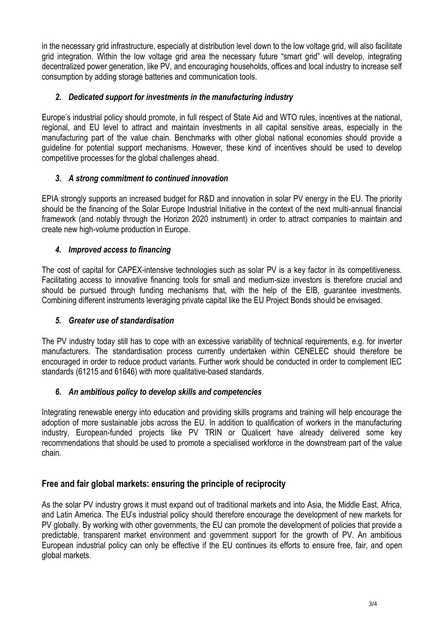in the necessary grid infrastructure, especially at distribution level down to the low voltage grid, will also facilitate grid integration. Within the low voltage grid area the necessary future "smart grid" will develop, integrating decentralized power generation, like PV, and encouraging households, offices and local industry to increase self consumption by adding storage batteries and communication tools.

### *2. Dedicated support for investments in the manufacturing industry*

Europe's industrial policy should promote, in full respect of State Aid and WTO rules, incentives at the national, regional, and EU level to attract and maintain investments in all capital sensitive areas, especially in the manufacturing part of the value chain. Benchmarks with other global national economies should provide a guideline for potential support mechanisms. However, these kind of incentives should be used to develop competitive processes for the global challenges ahead.

## *3. A strong commitment to continued innovation*

EPIA strongly supports an increased budget for R&D and innovation in solar PV energy in the EU. The priority should be the financing of the Solar Europe Industrial Initiative in the context of the next multi-annual financial framework (and notably through the Horizon 2020 instrument) in order to attract companies to maintain and create new high-volume production in Europe.

## *4. Improved access to financing*

The cost of capital for CAPEX-intensive technologies such as solar PV is a key factor in its competitiveness. Facilitating access to innovative financing tools for small and medium-size investors is therefore crucial and should be pursued through funding mechanisms that, with the help of the EIB, guarantee investments. Combining different instruments leveraging private capital like the EU Project Bonds should be envisaged.

### *5. Greater use of standardisation*

The PV industry today still has to cope with an excessive variability of technical requirements, e.g. for inverter manufacturers. The standardisation process currently undertaken within CENELEC should therefore be encouraged in order to reduce product variants. Further work should be conducted in order to complement IEC standards (61215 and 61646) with more qualitative-based standards.

### *6. An ambitious policy to develop skills and competencies*

Integrating renewable energy into education and providing skills programs and training will help encourage the adoption of more sustainable jobs across the EU. In addition to qualification of workers in the manufacturing industry, European-funded projects like PV TRIN or Qualicert have already delivered some key recommendations that should be used to promote a specialised workforce in the downstream part of the value chain.

# **Free and fair global markets: ensuring the principle of reciprocity**

As the solar PV industry grows it must expand out of traditional markets and into Asia, the Middle East, Africa, and Latin America. The EU's industrial policy should therefore encourage the development of new markets for PV globally. By working with other governments, the EU can promote the development of policies that provide a predictable, transparent market environment and government support for the growth of PV. An ambitious European industrial policy can only be effective if the EU continues its efforts to ensure free, fair, and open global markets.